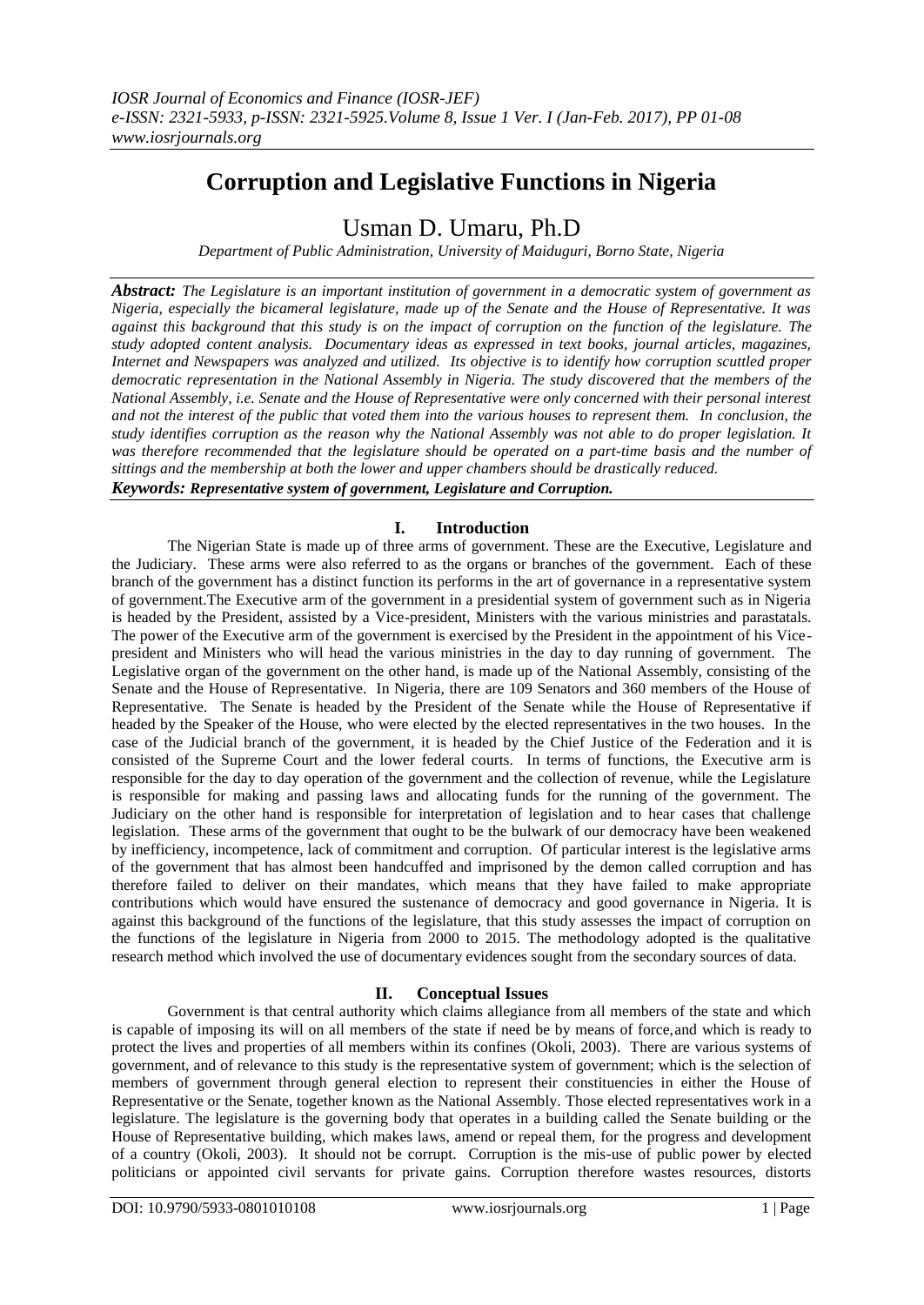# **Corruption and Legislative Functions in Nigeria**

# Usman D. Umaru, Ph.D

*Department of Public Administration, University of Maiduguri, Borno State, Nigeria*

*Abstract: The Legislature is an important institution of government in a democratic system of government as Nigeria, especially the bicameral legislature, made up of the Senate and the House of Representative. It was against this background that this study is on the impact of corruption on the function of the legislature. The study adopted content analysis. Documentary ideas as expressed in text books, journal articles, magazines, Internet and Newspapers was analyzed and utilized. Its objective is to identify how corruption scuttled proper democratic representation in the National Assembly in Nigeria. The study discovered that the members of the National Assembly, i.e. Senate and the House of Representative were only concerned with their personal interest and not the interest of the public that voted them into the various houses to represent them. In conclusion, the study identifies corruption as the reason why the National Assembly was not able to do proper legislation. It was therefore recommended that the legislature should be operated on a part-time basis and the number of sittings and the membership at both the lower and upper chambers should be drastically reduced. Keywords: Representative system of government, Legislature and Corruption.*

# **I. Introduction**

The Nigerian State is made up of three arms of government. These are the Executive, Legislature and the Judiciary. These arms were also referred to as the organs or branches of the government. Each of these branch of the government has a distinct function its performs in the art of governance in a representative system of government.The Executive arm of the government in a presidential system of government such as in Nigeria is headed by the President, assisted by a Vice-president, Ministers with the various ministries and parastatals. The power of the Executive arm of the government is exercised by the President in the appointment of his Vicepresident and Ministers who will head the various ministries in the day to day running of government. The Legislative organ of the government on the other hand, is made up of the National Assembly, consisting of the Senate and the House of Representative. In Nigeria, there are 109 Senators and 360 members of the House of Representative. The Senate is headed by the President of the Senate while the House of Representative if headed by the Speaker of the House, who were elected by the elected representatives in the two houses. In the case of the Judicial branch of the government, it is headed by the Chief Justice of the Federation and it is consisted of the Supreme Court and the lower federal courts. In terms of functions, the Executive arm is responsible for the day to day operation of the government and the collection of revenue, while the Legislature is responsible for making and passing laws and allocating funds for the running of the government. The Judiciary on the other hand is responsible for interpretation of legislation and to hear cases that challenge legislation. These arms of the government that ought to be the bulwark of our democracy have been weakened by inefficiency, incompetence, lack of commitment and corruption. Of particular interest is the legislative arms of the government that has almost been handcuffed and imprisoned by the demon called corruption and has therefore failed to deliver on their mandates, which means that they have failed to make appropriate contributions which would have ensured the sustenance of democracy and good governance in Nigeria. It is against this background of the functions of the legislature, that this study assesses the impact of corruption on the functions of the legislature in Nigeria from 2000 to 2015. The methodology adopted is the qualitative research method which involved the use of documentary evidences sought from the secondary sources of data.

# **II. Conceptual Issues**

Government is that central authority which claims allegiance from all members of the state and which is capable of imposing its will on all members of the state if need be by means of force,and which is ready to protect the lives and properties of all members within its confines (Okoli, 2003). There are various systems of government, and of relevance to this study is the representative system of government; which is the selection of members of government through general election to represent their constituencies in either the House of Representative or the Senate, together known as the National Assembly. Those elected representatives work in a legislature. The legislature is the governing body that operates in a building called the Senate building or the House of Representative building, which makes laws, amend or repeal them, for the progress and development of a country (Okoli, 2003). It should not be corrupt. Corruption is the mis-use of public power by elected politicians or appointed civil servants for private gains. Corruption therefore wastes resources, distorts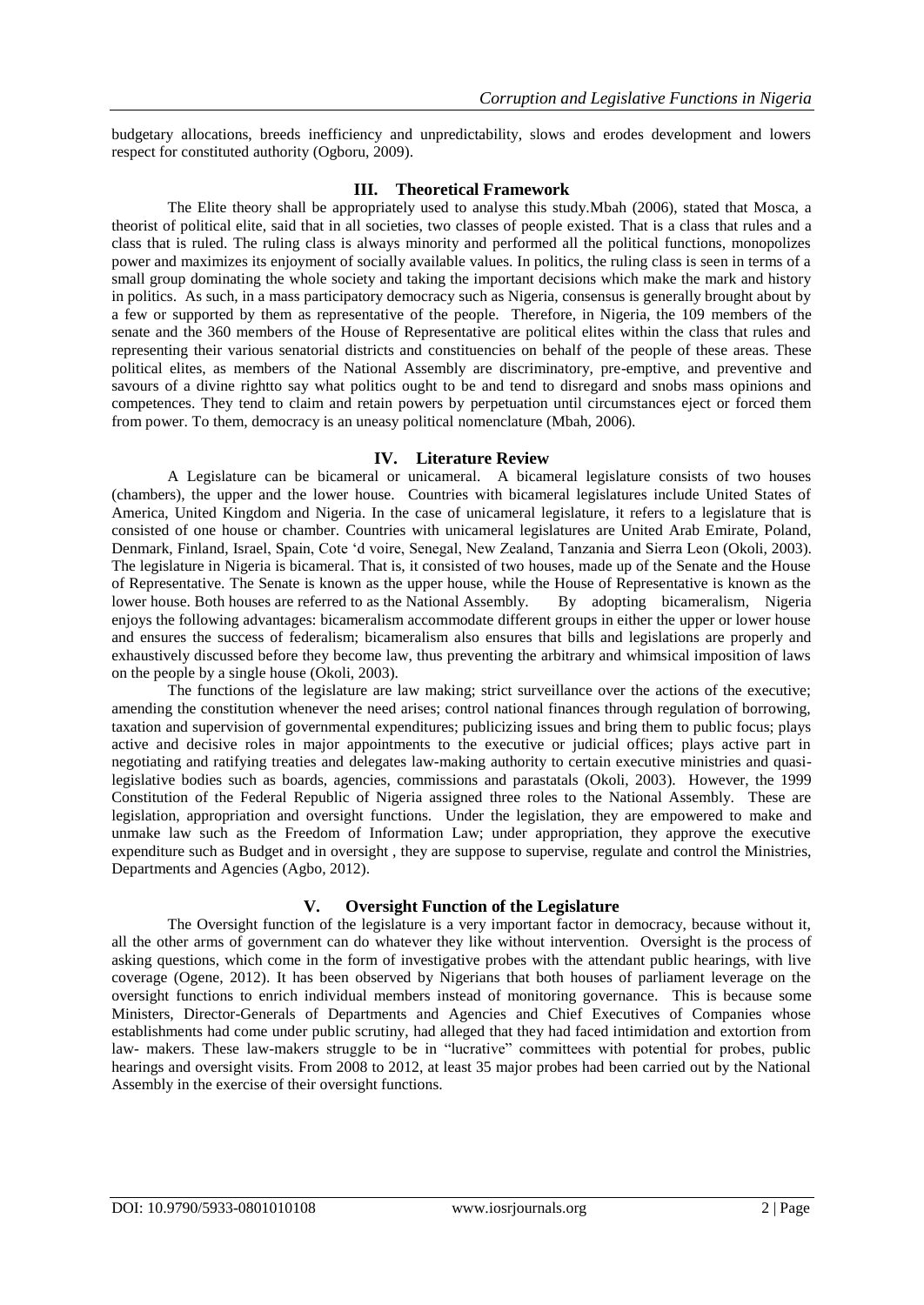budgetary allocations, breeds inefficiency and unpredictability, slows and erodes development and lowers respect for constituted authority (Ogboru, 2009).

#### **III. Theoretical Framework**

The Elite theory shall be appropriately used to analyse this study.Mbah (2006), stated that Mosca, a theorist of political elite, said that in all societies, two classes of people existed. That is a class that rules and a class that is ruled. The ruling class is always minority and performed all the political functions, monopolizes power and maximizes its enjoyment of socially available values. In politics, the ruling class is seen in terms of a small group dominating the whole society and taking the important decisions which make the mark and history in politics. As such, in a mass participatory democracy such as Nigeria, consensus is generally brought about by a few or supported by them as representative of the people. Therefore, in Nigeria, the 109 members of the senate and the 360 members of the House of Representative are political elites within the class that rules and representing their various senatorial districts and constituencies on behalf of the people of these areas. These political elites, as members of the National Assembly are discriminatory, pre-emptive, and preventive and savours of a divine rightto say what politics ought to be and tend to disregard and snobs mass opinions and competences. They tend to claim and retain powers by perpetuation until circumstances eject or forced them from power. To them, democracy is an uneasy political nomenclature (Mbah, 2006).

#### **IV. Literature Review**

A Legislature can be bicameral or unicameral. A bicameral legislature consists of two houses (chambers), the upper and the lower house. Countries with bicameral legislatures include United States of America, United Kingdom and Nigeria. In the case of unicameral legislature, it refers to a legislature that is consisted of one house or chamber. Countries with unicameral legislatures are United Arab Emirate, Poland, Denmark, Finland, Israel, Spain, Cote 'd voire, Senegal, New Zealand, Tanzania and Sierra Leon (Okoli, 2003). The legislature in Nigeria is bicameral. That is, it consisted of two houses, made up of the Senate and the House of Representative. The Senate is known as the upper house, while the House of Representative is known as the lower house. Both houses are referred to as the National Assembly. By adopting bicameralism, Nigeria enjoys the following advantages: bicameralism accommodate different groups in either the upper or lower house and ensures the success of federalism; bicameralism also ensures that bills and legislations are properly and exhaustively discussed before they become law, thus preventing the arbitrary and whimsical imposition of laws on the people by a single house (Okoli, 2003).

The functions of the legislature are law making; strict surveillance over the actions of the executive; amending the constitution whenever the need arises; control national finances through regulation of borrowing, taxation and supervision of governmental expenditures; publicizing issues and bring them to public focus; plays active and decisive roles in major appointments to the executive or judicial offices; plays active part in negotiating and ratifying treaties and delegates law-making authority to certain executive ministries and quasilegislative bodies such as boards, agencies, commissions and parastatals (Okoli, 2003). However, the 1999 Constitution of the Federal Republic of Nigeria assigned three roles to the National Assembly. These are legislation, appropriation and oversight functions. Under the legislation, they are empowered to make and unmake law such as the Freedom of Information Law; under appropriation, they approve the executive expenditure such as Budget and in oversight , they are suppose to supervise, regulate and control the Ministries, Departments and Agencies (Agbo, 2012).

## **V. Oversight Function of the Legislature**

The Oversight function of the legislature is a very important factor in democracy, because without it, all the other arms of government can do whatever they like without intervention. Oversight is the process of asking questions, which come in the form of investigative probes with the attendant public hearings, with live coverage (Ogene, 2012). It has been observed by Nigerians that both houses of parliament leverage on the oversight functions to enrich individual members instead of monitoring governance. This is because some Ministers, Director-Generals of Departments and Agencies and Chief Executives of Companies whose establishments had come under public scrutiny, had alleged that they had faced intimidation and extortion from law- makers. These law-makers struggle to be in "lucrative" committees with potential for probes, public hearings and oversight visits. From 2008 to 2012, at least 35 major probes had been carried out by the National Assembly in the exercise of their oversight functions.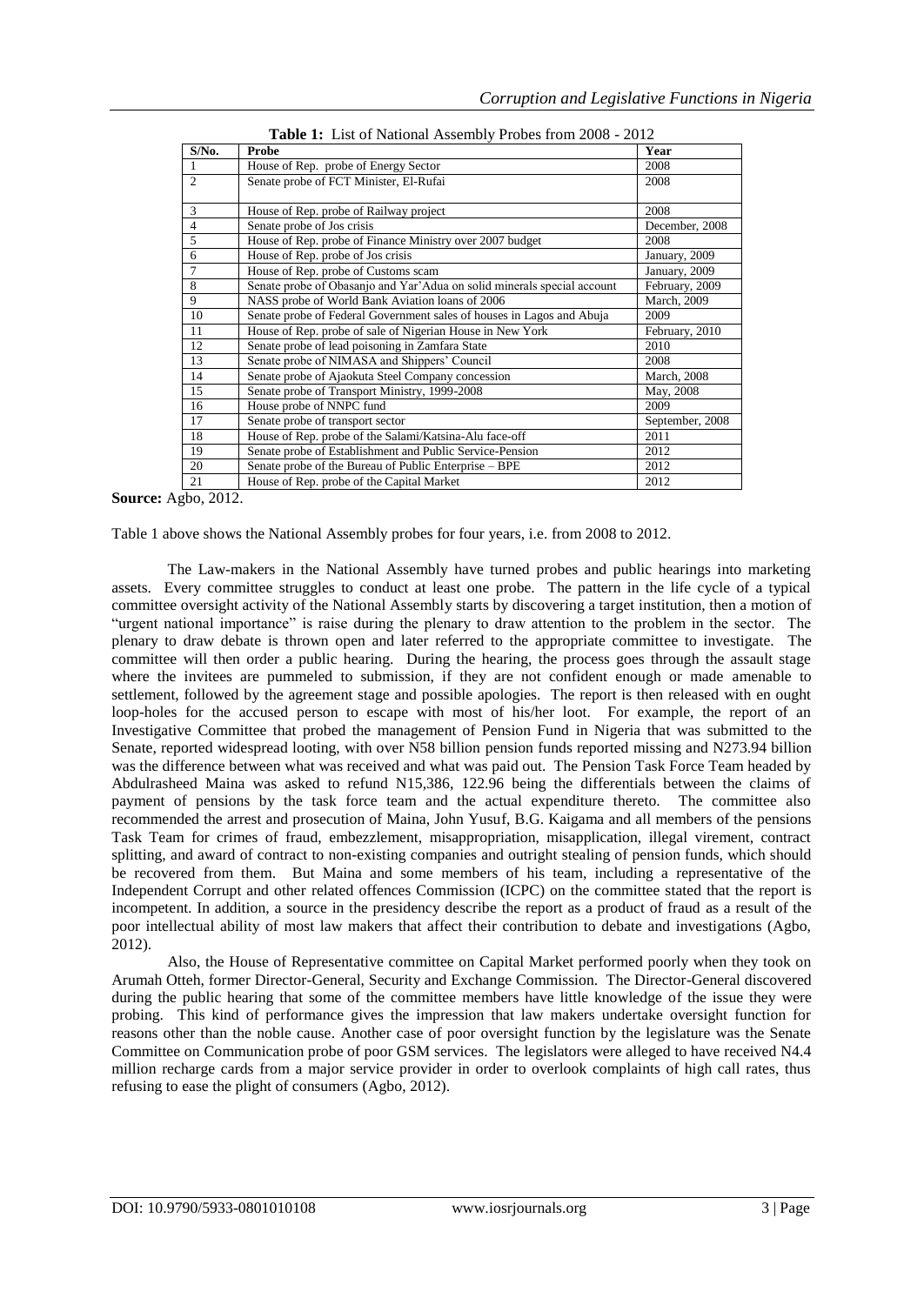| $S/N0$ .       | Probe                                                                   | Year                |
|----------------|-------------------------------------------------------------------------|---------------------|
|                | House of Rep. probe of Energy Sector                                    | 2008                |
| $\mathfrak{D}$ | Senate probe of FCT Minister, El-Rufai                                  | 2008                |
|                |                                                                         |                     |
| 3              | House of Rep. probe of Railway project                                  | 2008                |
| $\overline{4}$ | Senate probe of Jos crisis                                              | December, 2008      |
| 5              | House of Rep. probe of Finance Ministry over 2007 budget                | 2008                |
| 6              | House of Rep. probe of Jos crisis                                       | January, 2009       |
| 7              | House of Rep. probe of Customs scam                                     | January, 2009       |
| 8              | Senate probe of Obasanjo and Yar'Adua on solid minerals special account | February, 2009      |
| 9              | NASS probe of World Bank Aviation loans of 2006                         | March, 2009         |
| 10             | Senate probe of Federal Government sales of houses in Lagos and Abuja   | 2009                |
| 11             | House of Rep. probe of sale of Nigerian House in New York               | February, 2010      |
| 12             | Senate probe of lead poisoning in Zamfara State                         | 2010                |
| 13             | Senate probe of NIMASA and Shippers' Council                            | 2008                |
| 14             | Senate probe of Ajaokuta Steel Company concession                       | <b>March</b> , 2008 |
| 15             | Senate probe of Transport Ministry, 1999-2008                           | May, 2008           |
| 16             | House probe of NNPC fund                                                | 2009                |
| 17             | Senate probe of transport sector                                        | September, 2008     |
| 18             | House of Rep. probe of the Salami/Katsina-Alu face-off                  | 2011                |
| 19             | Senate probe of Establishment and Public Service-Pension                | 2012                |
| 20             | Senate probe of the Bureau of Public Enterprise – BPE                   | 2012                |
| 21             | House of Rep. probe of the Capital Market                               | 2012                |

**Source:** Agbo, 2012.

Table 1 above shows the National Assembly probes for four years, i.e. from 2008 to 2012.

The Law-makers in the National Assembly have turned probes and public hearings into marketing assets. Every committee struggles to conduct at least one probe. The pattern in the life cycle of a typical committee oversight activity of the National Assembly starts by discovering a target institution, then a motion of "urgent national importance" is raise during the plenary to draw attention to the problem in the sector. The plenary to draw debate is thrown open and later referred to the appropriate committee to investigate. The committee will then order a public hearing. During the hearing, the process goes through the assault stage where the invitees are pummeled to submission, if they are not confident enough or made amenable to settlement, followed by the agreement stage and possible apologies. The report is then released with en ought loop-holes for the accused person to escape with most of his/her loot. For example, the report of an Investigative Committee that probed the management of Pension Fund in Nigeria that was submitted to the Senate, reported widespread looting, with over N58 billion pension funds reported missing and N273.94 billion was the difference between what was received and what was paid out. The Pension Task Force Team headed by Abdulrasheed Maina was asked to refund N15,386, 122.96 being the differentials between the claims of payment of pensions by the task force team and the actual expenditure thereto. The committee also recommended the arrest and prosecution of Maina, John Yusuf, B.G. Kaigama and all members of the pensions Task Team for crimes of fraud, embezzlement, misappropriation, misapplication, illegal virement, contract splitting, and award of contract to non-existing companies and outright stealing of pension funds, which should be recovered from them. But Maina and some members of his team, including a representative of the Independent Corrupt and other related offences Commission (ICPC) on the committee stated that the report is incompetent. In addition, a source in the presidency describe the report as a product of fraud as a result of the poor intellectual ability of most law makers that affect their contribution to debate and investigations (Agbo, 2012).

Also, the House of Representative committee on Capital Market performed poorly when they took on Arumah Otteh, former Director-General, Security and Exchange Commission. The Director-General discovered during the public hearing that some of the committee members have little knowledge of the issue they were probing. This kind of performance gives the impression that law makers undertake oversight function for reasons other than the noble cause. Another case of poor oversight function by the legislature was the Senate Committee on Communication probe of poor GSM services. The legislators were alleged to have received N4.4 million recharge cards from a major service provider in order to overlook complaints of high call rates, thus refusing to ease the plight of consumers (Agbo, 2012).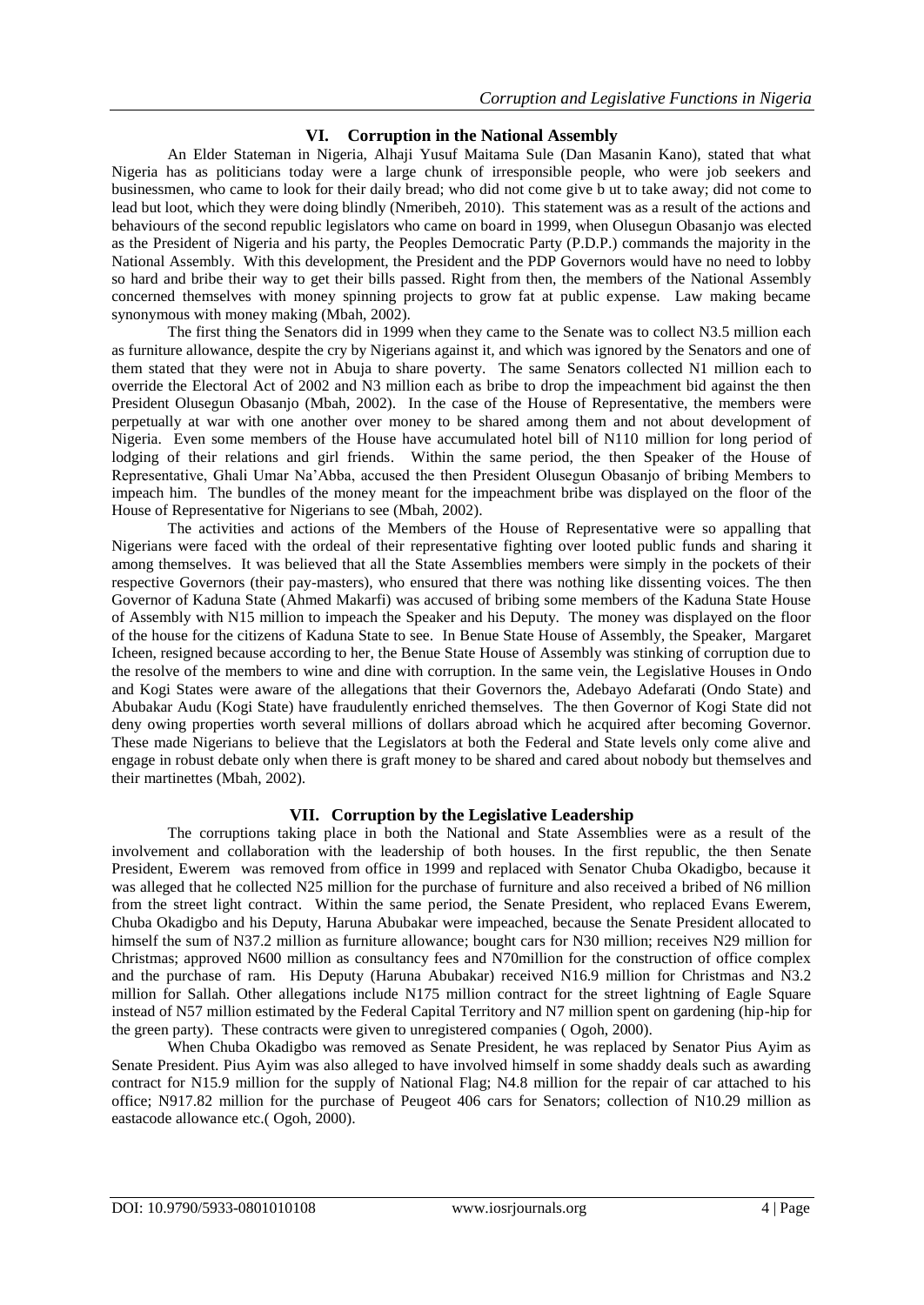## **VI. Corruption in the National Assembly**

An Elder Stateman in Nigeria, Alhaji Yusuf Maitama Sule (Dan Masanin Kano), stated that what Nigeria has as politicians today were a large chunk of irresponsible people, who were job seekers and businessmen, who came to look for their daily bread; who did not come give b ut to take away; did not come to lead but loot, which they were doing blindly (Nmeribeh, 2010). This statement was as a result of the actions and behaviours of the second republic legislators who came on board in 1999, when Olusegun Obasanjo was elected as the President of Nigeria and his party, the Peoples Democratic Party (P.D.P.) commands the majority in the National Assembly. With this development, the President and the PDP Governors would have no need to lobby so hard and bribe their way to get their bills passed. Right from then, the members of the National Assembly concerned themselves with money spinning projects to grow fat at public expense. Law making became synonymous with money making (Mbah, 2002).

The first thing the Senators did in 1999 when they came to the Senate was to collect N3.5 million each as furniture allowance, despite the cry by Nigerians against it, and which was ignored by the Senators and one of them stated that they were not in Abuja to share poverty. The same Senators collected N1 million each to override the Electoral Act of 2002 and N3 million each as bribe to drop the impeachment bid against the then President Olusegun Obasanjo (Mbah, 2002). In the case of the House of Representative, the members were perpetually at war with one another over money to be shared among them and not about development of Nigeria. Even some members of the House have accumulated hotel bill of N110 million for long period of lodging of their relations and girl friends. Within the same period, the then Speaker of the House of Representative, Ghali Umar Na'Abba, accused the then President Olusegun Obasanjo of bribing Members to impeach him. The bundles of the money meant for the impeachment bribe was displayed on the floor of the House of Representative for Nigerians to see (Mbah, 2002).

The activities and actions of the Members of the House of Representative were so appalling that Nigerians were faced with the ordeal of their representative fighting over looted public funds and sharing it among themselves. It was believed that all the State Assemblies members were simply in the pockets of their respective Governors (their pay-masters), who ensured that there was nothing like dissenting voices. The then Governor of Kaduna State (Ahmed Makarfi) was accused of bribing some members of the Kaduna State House of Assembly with N15 million to impeach the Speaker and his Deputy. The money was displayed on the floor of the house for the citizens of Kaduna State to see. In Benue State House of Assembly, the Speaker, Margaret Icheen, resigned because according to her, the Benue State House of Assembly was stinking of corruption due to the resolve of the members to wine and dine with corruption. In the same vein, the Legislative Houses in Ondo and Kogi States were aware of the allegations that their Governors the, Adebayo Adefarati (Ondo State) and Abubakar Audu (Kogi State) have fraudulently enriched themselves. The then Governor of Kogi State did not deny owing properties worth several millions of dollars abroad which he acquired after becoming Governor. These made Nigerians to believe that the Legislators at both the Federal and State levels only come alive and engage in robust debate only when there is graft money to be shared and cared about nobody but themselves and their martinettes (Mbah, 2002).

## **VII. Corruption by the Legislative Leadership**

The corruptions taking place in both the National and State Assemblies were as a result of the involvement and collaboration with the leadership of both houses. In the first republic, the then Senate President, Ewerem was removed from office in 1999 and replaced with Senator Chuba Okadigbo, because it was alleged that he collected N25 million for the purchase of furniture and also received a bribed of N6 million from the street light contract. Within the same period, the Senate President, who replaced Evans Ewerem, Chuba Okadigbo and his Deputy, Haruna Abubakar were impeached, because the Senate President allocated to himself the sum of N37.2 million as furniture allowance; bought cars for N30 million; receives N29 million for Christmas; approved N600 million as consultancy fees and N70million for the construction of office complex and the purchase of ram. His Deputy (Haruna Abubakar) received N16.9 million for Christmas and N3.2 million for Sallah. Other allegations include N175 million contract for the street lightning of Eagle Square instead of N57 million estimated by the Federal Capital Territory and N7 million spent on gardening (hip-hip for the green party). These contracts were given to unregistered companies ( Ogoh, 2000).

When Chuba Okadigbo was removed as Senate President, he was replaced by Senator Pius Ayim as Senate President. Pius Ayim was also alleged to have involved himself in some shaddy deals such as awarding contract for N15.9 million for the supply of National Flag; N4.8 million for the repair of car attached to his office; N917.82 million for the purchase of Peugeot 406 cars for Senators; collection of N10.29 million as eastacode allowance etc.( Ogoh, 2000).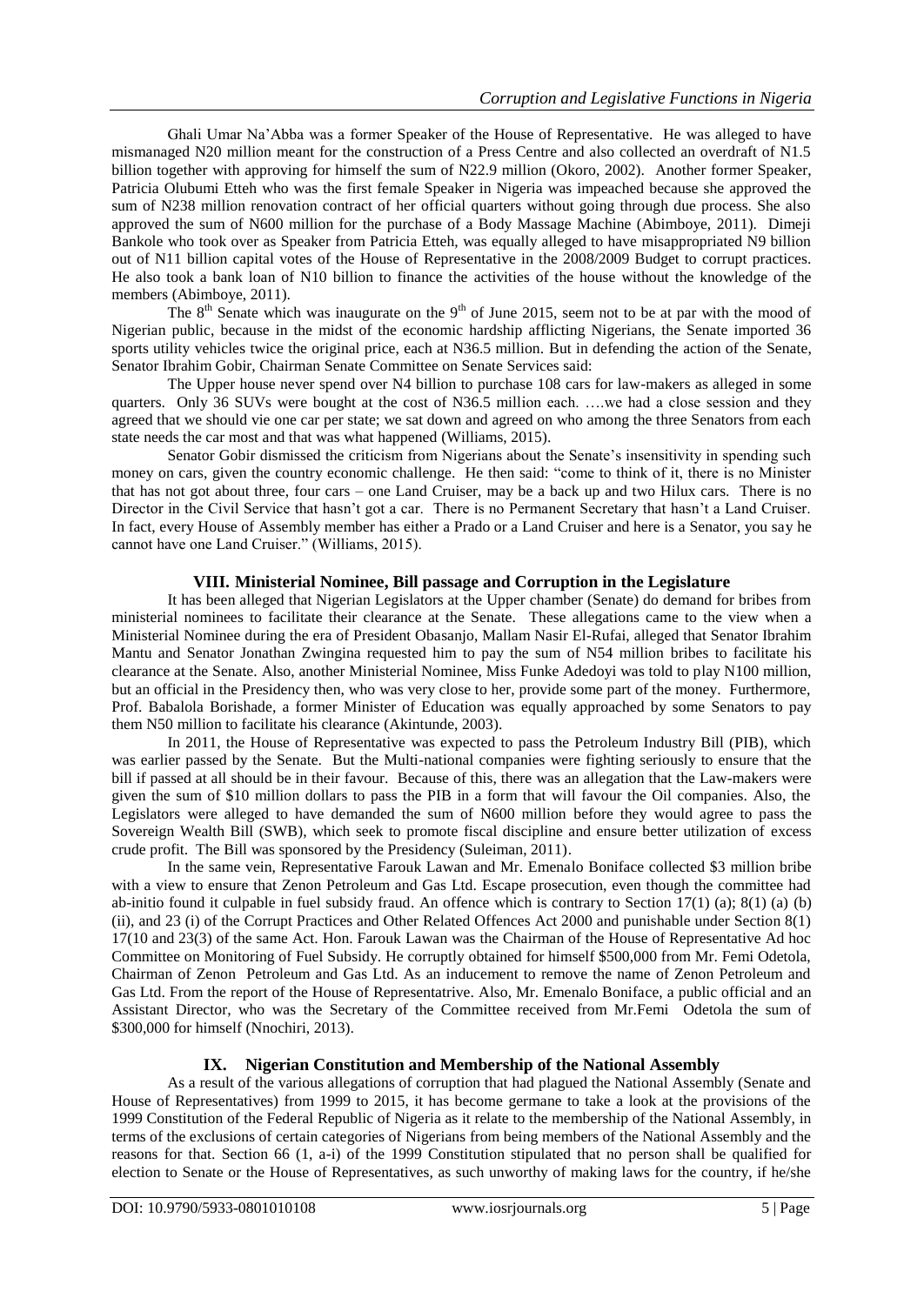Ghali Umar Na'Abba was a former Speaker of the House of Representative. He was alleged to have mismanaged N20 million meant for the construction of a Press Centre and also collected an overdraft of N1.5 billion together with approving for himself the sum of N22.9 million (Okoro, 2002). Another former Speaker, Patricia Olubumi Etteh who was the first female Speaker in Nigeria was impeached because she approved the sum of N238 million renovation contract of her official quarters without going through due process. She also approved the sum of N600 million for the purchase of a Body Massage Machine (Abimboye, 2011). Dimeji Bankole who took over as Speaker from Patricia Etteh, was equally alleged to have misappropriated N9 billion out of N11 billion capital votes of the House of Representative in the 2008/2009 Budget to corrupt practices. He also took a bank loan of N10 billion to finance the activities of the house without the knowledge of the members (Abimboye, 2011).

The  $8<sup>th</sup>$  Senate which was inaugurate on the  $9<sup>th</sup>$  of June 2015, seem not to be at par with the mood of Nigerian public, because in the midst of the economic hardship afflicting Nigerians, the Senate imported 36 sports utility vehicles twice the original price, each at N36.5 million. But in defending the action of the Senate, Senator Ibrahim Gobir, Chairman Senate Committee on Senate Services said:

The Upper house never spend over N4 billion to purchase 108 cars for law-makers as alleged in some quarters. Only 36 SUVs were bought at the cost of N36.5 million each. ….we had a close session and they agreed that we should vie one car per state; we sat down and agreed on who among the three Senators from each state needs the car most and that was what happened (Williams, 2015).

Senator Gobir dismissed the criticism from Nigerians about the Senate's insensitivity in spending such money on cars, given the country economic challenge. He then said: "come to think of it, there is no Minister that has not got about three, four cars – one Land Cruiser, may be a back up and two Hilux cars. There is no Director in the Civil Service that hasn't got a car. There is no Permanent Secretary that hasn't a Land Cruiser. In fact, every House of Assembly member has either a Prado or a Land Cruiser and here is a Senator, you say he cannot have one Land Cruiser." (Williams, 2015).

## **VIII. Ministerial Nominee, Bill passage and Corruption in the Legislature**

It has been alleged that Nigerian Legislators at the Upper chamber (Senate) do demand for bribes from ministerial nominees to facilitate their clearance at the Senate. These allegations came to the view when a Ministerial Nominee during the era of President Obasanjo, Mallam Nasir El-Rufai, alleged that Senator Ibrahim Mantu and Senator Jonathan Zwingina requested him to pay the sum of N54 million bribes to facilitate his clearance at the Senate. Also, another Ministerial Nominee, Miss Funke Adedoyi was told to play N100 million, but an official in the Presidency then, who was very close to her, provide some part of the money. Furthermore, Prof. Babalola Borishade, a former Minister of Education was equally approached by some Senators to pay them N50 million to facilitate his clearance (Akintunde, 2003).

In 2011, the House of Representative was expected to pass the Petroleum Industry Bill (PIB), which was earlier passed by the Senate. But the Multi-national companies were fighting seriously to ensure that the bill if passed at all should be in their favour. Because of this, there was an allegation that the Law-makers were given the sum of \$10 million dollars to pass the PIB in a form that will favour the Oil companies. Also, the Legislators were alleged to have demanded the sum of N600 million before they would agree to pass the Sovereign Wealth Bill (SWB), which seek to promote fiscal discipline and ensure better utilization of excess crude profit. The Bill was sponsored by the Presidency (Suleiman, 2011).

In the same vein, Representative Farouk Lawan and Mr. Emenalo Boniface collected \$3 million bribe with a view to ensure that Zenon Petroleum and Gas Ltd. Escape prosecution, even though the committee had ab-initio found it culpable in fuel subsidy fraud. An offence which is contrary to Section  $17(1)$  (a);  $8(1)$  (a) (b) (ii), and 23 (i) of the Corrupt Practices and Other Related Offences Act 2000 and punishable under Section 8(1) 17(10 and 23(3) of the same Act. Hon. Farouk Lawan was the Chairman of the House of Representative Ad hoc Committee on Monitoring of Fuel Subsidy. He corruptly obtained for himself \$500,000 from Mr. Femi Odetola, Chairman of Zenon Petroleum and Gas Ltd. As an inducement to remove the name of Zenon Petroleum and Gas Ltd. From the report of the House of Representatrive. Also, Mr. Emenalo Boniface, a public official and an Assistant Director, who was the Secretary of the Committee received from Mr.Femi Odetola the sum of \$300,000 for himself (Nnochiri, 2013).

## **IX. Nigerian Constitution and Membership of the National Assembly**

As a result of the various allegations of corruption that had plagued the National Assembly (Senate and House of Representatives) from 1999 to 2015, it has become germane to take a look at the provisions of the 1999 Constitution of the Federal Republic of Nigeria as it relate to the membership of the National Assembly, in terms of the exclusions of certain categories of Nigerians from being members of the National Assembly and the reasons for that. Section 66 (1, a-i) of the 1999 Constitution stipulated that no person shall be qualified for election to Senate or the House of Representatives, as such unworthy of making laws for the country, if he/she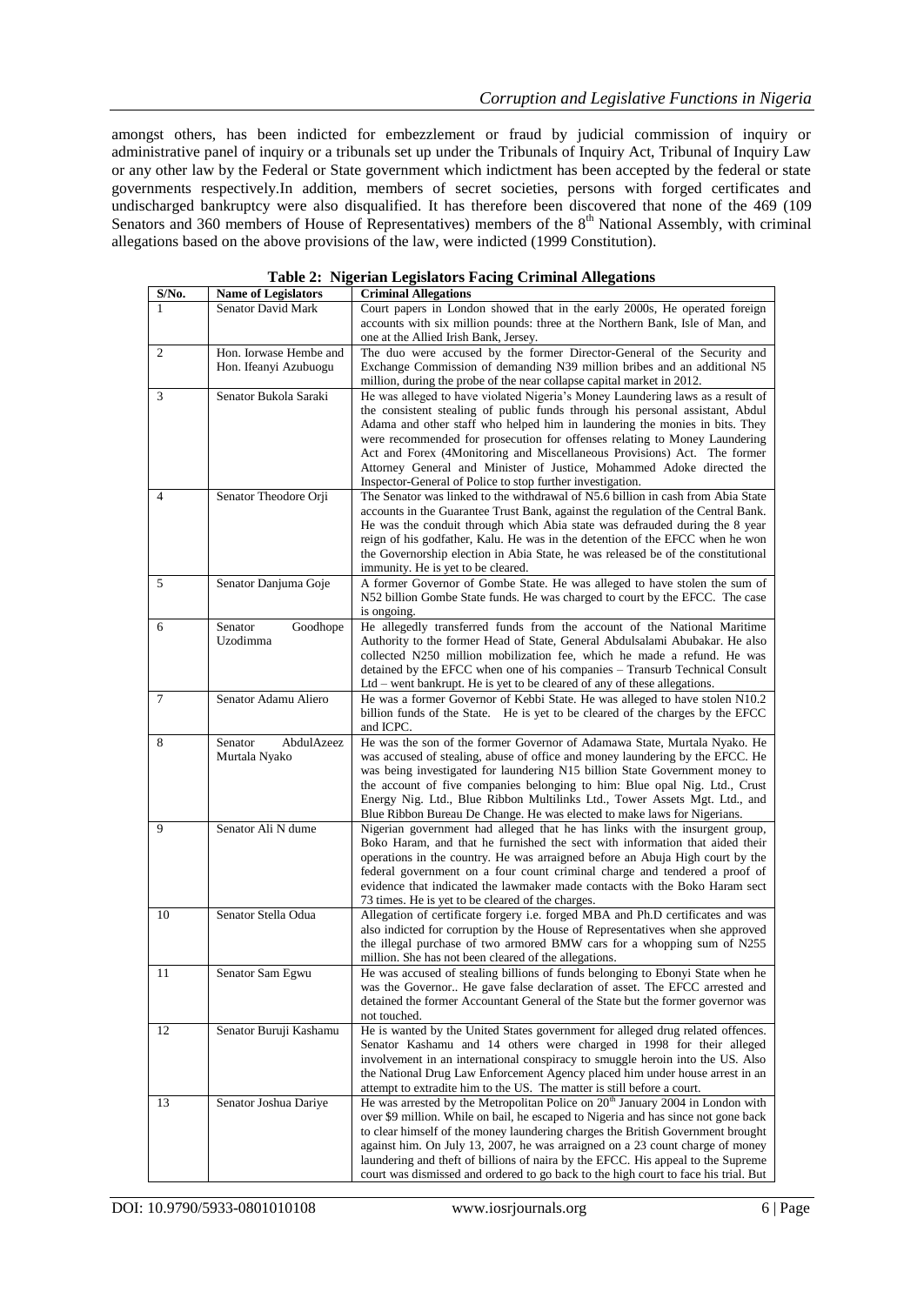amongst others, has been indicted for embezzlement or fraud by judicial commission of inquiry or administrative panel of inquiry or a tribunals set up under the Tribunals of Inquiry Act, Tribunal of Inquiry Law or any other law by the Federal or State government which indictment has been accepted by the federal or state governments respectively.In addition, members of secret societies, persons with forged certificates and undischarged bankruptcy were also disqualified. It has therefore been discovered that none of the 469 (109 Senators and 360 members of House of Representatives) members of the  $8<sup>th</sup>$  National Assembly, with criminal allegations based on the above provisions of the law, were indicted (1999 Constitution).

| S/No.          | <b>Name of Legislators</b>                      | <b>Criminal Allegations</b>                                                                                                                                                                                                                                                                                                                                                                                                                                                                                                                     |
|----------------|-------------------------------------------------|-------------------------------------------------------------------------------------------------------------------------------------------------------------------------------------------------------------------------------------------------------------------------------------------------------------------------------------------------------------------------------------------------------------------------------------------------------------------------------------------------------------------------------------------------|
| 1              | <b>Senator David Mark</b>                       | Court papers in London showed that in the early 2000s, He operated foreign<br>accounts with six million pounds: three at the Northern Bank, Isle of Man, and<br>one at the Allied Irish Bank, Jersey.                                                                                                                                                                                                                                                                                                                                           |
| $\overline{2}$ | Hon. Iorwase Hembe and<br>Hon. Ifeanyi Azubuogu | The duo were accused by the former Director-General of the Security and<br>Exchange Commission of demanding N39 million bribes and an additional N5<br>million, during the probe of the near collapse capital market in 2012.                                                                                                                                                                                                                                                                                                                   |
| 3              | Senator Bukola Saraki                           | He was alleged to have violated Nigeria's Money Laundering laws as a result of<br>the consistent stealing of public funds through his personal assistant, Abdul<br>Adama and other staff who helped him in laundering the monies in bits. They<br>were recommended for prosecution for offenses relating to Money Laundering<br>Act and Forex (4Monitoring and Miscellaneous Provisions) Act. The former<br>Attorney General and Minister of Justice, Mohammed Adoke directed the<br>Inspector-General of Police to stop further investigation. |
| $\overline{4}$ | Senator Theodore Orji                           | The Senator was linked to the withdrawal of N5.6 billion in cash from Abia State<br>accounts in the Guarantee Trust Bank, against the regulation of the Central Bank.<br>He was the conduit through which Abia state was defrauded during the 8 year<br>reign of his godfather, Kalu. He was in the detention of the EFCC when he won<br>the Governorship election in Abia State, he was released be of the constitutional<br>immunity. He is yet to be cleared.                                                                                |
| 5              | Senator Danjuma Goje                            | A former Governor of Gombe State. He was alleged to have stolen the sum of<br>N52 billion Gombe State funds. He was charged to court by the EFCC. The case<br>is ongoing.                                                                                                                                                                                                                                                                                                                                                                       |
| 6              | Senator<br>Goodhope<br>Uzodimma                 | He allegedly transferred funds from the account of the National Maritime<br>Authority to the former Head of State, General Abdulsalami Abubakar. He also<br>collected N250 million mobilization fee, which he made a refund. He was<br>detained by the EFCC when one of his companies - Transurb Technical Consult<br>Ltd – went bankrupt. He is yet to be cleared of any of these allegations.                                                                                                                                                 |
| 7              | Senator Adamu Aliero                            | He was a former Governor of Kebbi State. He was alleged to have stolen N10.2<br>billion funds of the State. He is yet to be cleared of the charges by the EFCC<br>and ICPC.                                                                                                                                                                                                                                                                                                                                                                     |
| 8              | AbdulAzeez<br>Senator<br>Murtala Nyako          | He was the son of the former Governor of Adamawa State, Murtala Nyako. He<br>was accused of stealing, abuse of office and money laundering by the EFCC. He<br>was being investigated for laundering N15 billion State Government money to<br>the account of five companies belonging to him: Blue opal Nig. Ltd., Crust<br>Energy Nig. Ltd., Blue Ribbon Multilinks Ltd., Tower Assets Mgt. Ltd., and<br>Blue Ribbon Bureau De Change. He was elected to make laws for Nigerians.                                                               |
| 9              | Senator Ali N dume                              | Nigerian government had alleged that he has links with the insurgent group,<br>Boko Haram, and that he furnished the sect with information that aided their<br>operations in the country. He was arraigned before an Abuja High court by the<br>federal government on a four count criminal charge and tendered a proof of<br>evidence that indicated the lawmaker made contacts with the Boko Haram sect<br>73 times. He is yet to be cleared of the charges.                                                                                  |
| 10             | Senator Stella Odua                             | Allegation of certificate forgery i.e. forged MBA and Ph.D certificates and was<br>also indicted for corruption by the House of Representatives when she approved<br>the illegal purchase of two armored BMW cars for a whopping sum of N255<br>million. She has not been cleared of the allegations.                                                                                                                                                                                                                                           |
| 11             | Senator Sam Egwu                                | He was accused of stealing billions of funds belonging to Ebonyi State when he<br>was the Governor He gave false declaration of asset. The EFCC arrested and<br>detained the former Accountant General of the State but the former governor was<br>not touched.                                                                                                                                                                                                                                                                                 |
| 12             | Senator Buruji Kashamu                          | He is wanted by the United States government for alleged drug related offences.<br>Senator Kashamu and 14 others were charged in 1998 for their alleged<br>involvement in an international conspiracy to smuggle heroin into the US. Also<br>the National Drug Law Enforcement Agency placed him under house arrest in an<br>attempt to extradite him to the US. The matter is still before a court.                                                                                                                                            |
| 13             | Senator Joshua Dariye                           | He was arrested by the Metropolitan Police on 20 <sup>th</sup> January 2004 in London with<br>over \$9 million. While on bail, he escaped to Nigeria and has since not gone back<br>to clear himself of the money laundering charges the British Government brought<br>against him. On July 13, 2007, he was arraigned on a 23 count charge of money<br>laundering and theft of billions of naira by the EFCC. His appeal to the Supreme<br>court was dismissed and ordered to go back to the high court to face his trial. But                 |

**Table 2: Nigerian Legislators Facing Criminal Allegations**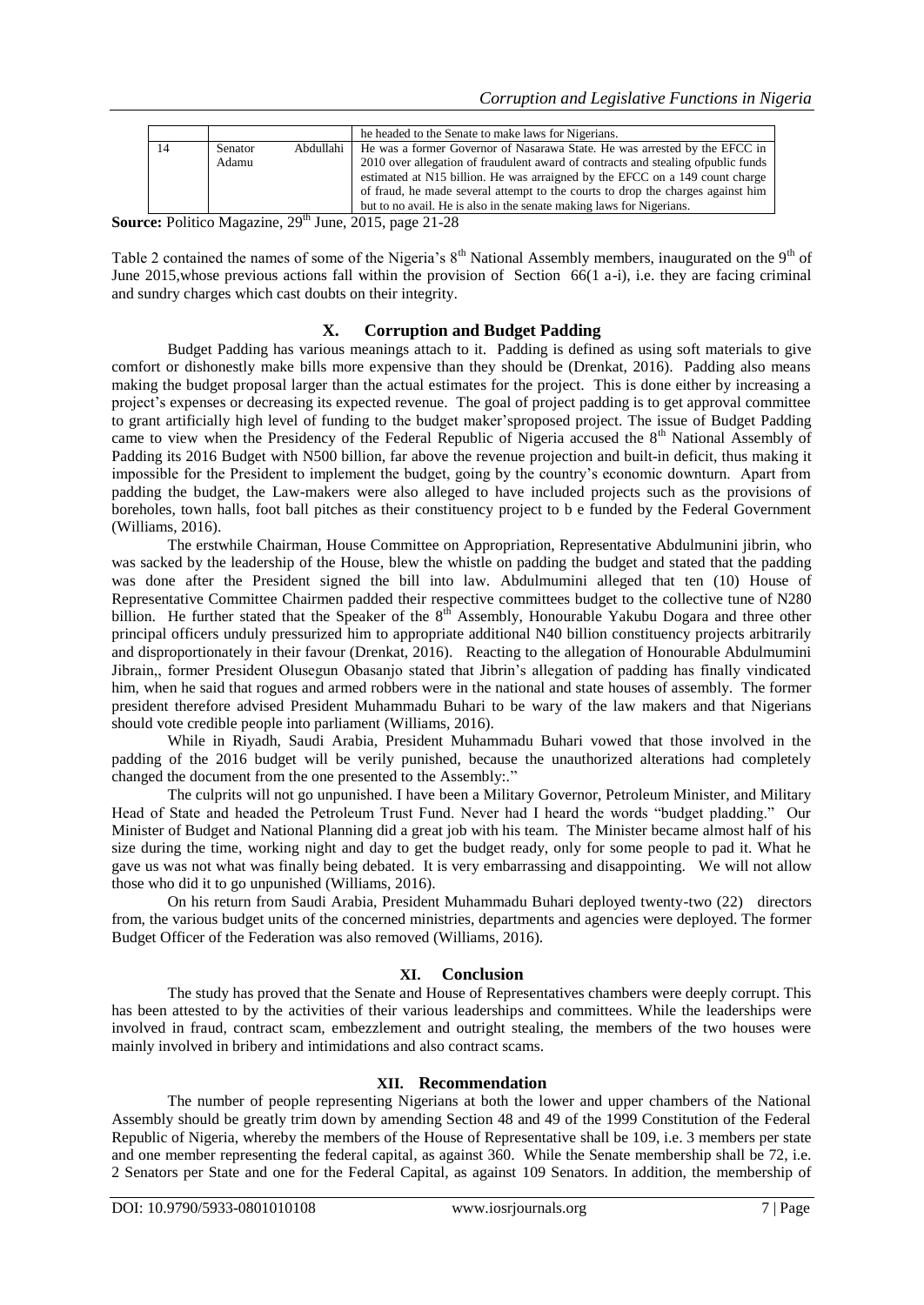|    |         |           | he headed to the Senate to make laws for Nigerians.                                |
|----|---------|-----------|------------------------------------------------------------------------------------|
| 14 | Senator | Abdullahi | He was a former Governor of Nasarawa State. He was arrested by the EFCC in         |
|    | Adamu   |           | 2010 over allegation of fraudulent award of contracts and stealing of public funds |
|    |         |           | estimated at N15 billion. He was arraigned by the EFCC on a 149 count charge       |
|    |         |           | of fraud, he made several attempt to the courts to drop the charges against him    |
|    |         |           | but to no avail. He is also in the senate making laws for Nigerians.               |

**Source:** Politico Magazine, 29<sup>th</sup> June, 2015, page 21-28

Table 2 contained the names of some of the Nigeria's  $8<sup>th</sup>$  National Assembly members, inaugurated on the  $9<sup>th</sup>$  of June 2015, whose previous actions fall within the provision of Section 66(1 a-i), i.e. they are facing criminal and sundry charges which cast doubts on their integrity.

### **X. Corruption and Budget Padding**

Budget Padding has various meanings attach to it. Padding is defined as using soft materials to give comfort or dishonestly make bills more expensive than they should be (Drenkat, 2016). Padding also means making the budget proposal larger than the actual estimates for the project. This is done either by increasing a project's expenses or decreasing its expected revenue. The goal of project padding is to get approval committee to grant artificially high level of funding to the budget maker'sproposed project. The issue of Budget Padding came to view when the Presidency of the Federal Republic of Nigeria accused the 8<sup>th</sup> National Assembly of Padding its 2016 Budget with N500 billion, far above the revenue projection and built-in deficit, thus making it impossible for the President to implement the budget, going by the country's economic downturn. Apart from padding the budget, the Law-makers were also alleged to have included projects such as the provisions of boreholes, town halls, foot ball pitches as their constituency project to b e funded by the Federal Government (Williams, 2016).

The erstwhile Chairman, House Committee on Appropriation, Representative Abdulmunini jibrin, who was sacked by the leadership of the House, blew the whistle on padding the budget and stated that the padding was done after the President signed the bill into law. Abdulmumini alleged that ten (10) House of Representative Committee Chairmen padded their respective committees budget to the collective tune of N280 billion. He further stated that the Speaker of the 8<sup>th</sup> Assembly, Honourable Yakubu Dogara and three other principal officers unduly pressurized him to appropriate additional N40 billion constituency projects arbitrarily and disproportionately in their favour (Drenkat, 2016). Reacting to the allegation of Honourable Abdulmumini Jibrain,, former President Olusegun Obasanjo stated that Jibrin's allegation of padding has finally vindicated him, when he said that rogues and armed robbers were in the national and state houses of assembly. The former president therefore advised President Muhammadu Buhari to be wary of the law makers and that Nigerians should vote credible people into parliament (Williams, 2016).

While in Riyadh, Saudi Arabia, President Muhammadu Buhari vowed that those involved in the padding of the 2016 budget will be verily punished, because the unauthorized alterations had completely changed the document from the one presented to the Assembly:."

The culprits will not go unpunished. I have been a Military Governor, Petroleum Minister, and Military Head of State and headed the Petroleum Trust Fund. Never had I heard the words "budget pladding." Our Minister of Budget and National Planning did a great job with his team. The Minister became almost half of his size during the time, working night and day to get the budget ready, only for some people to pad it. What he gave us was not what was finally being debated. It is very embarrassing and disappointing. We will not allow those who did it to go unpunished (Williams, 2016).

On his return from Saudi Arabia, President Muhammadu Buhari deployed twenty-two (22) directors from, the various budget units of the concerned ministries, departments and agencies were deployed. The former Budget Officer of the Federation was also removed (Williams, 2016).

#### **XI. Conclusion**

The study has proved that the Senate and House of Representatives chambers were deeply corrupt. This has been attested to by the activities of their various leaderships and committees. While the leaderships were involved in fraud, contract scam, embezzlement and outright stealing, the members of the two houses were mainly involved in bribery and intimidations and also contract scams.

#### **XII. Recommendation**

The number of people representing Nigerians at both the lower and upper chambers of the National Assembly should be greatly trim down by amending Section 48 and 49 of the 1999 Constitution of the Federal Republic of Nigeria, whereby the members of the House of Representative shall be 109, i.e. 3 members per state and one member representing the federal capital, as against 360. While the Senate membership shall be 72, i.e. 2 Senators per State and one for the Federal Capital, as against 109 Senators. In addition, the membership of